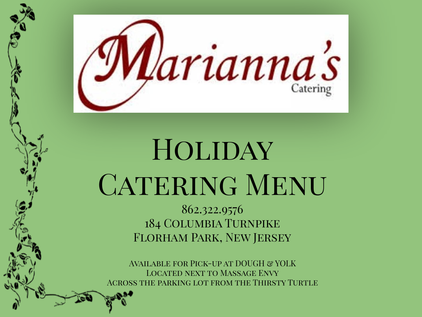

# **HOLIDAY CATERING MENU**

862.322.9576 184 Columbia Turnpike Florham Park, New Jersey

Available for Pick-up at DOUGH & YOLK Located next to Massage Envy Across the parking lot from the Thirsty Turtle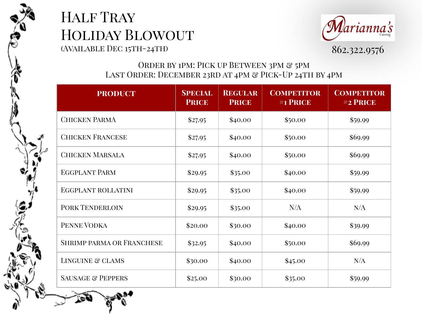



#### ORDER BY 1PM: PICK UP BETWEEN 3PM & 5PM LAST ORDER: DECEMBER 23RD AT 4PM & PICK-UP 24TH BY 4PM

| <b>PRODUCT</b>                   | <b>SPECIAL</b><br><b>PRICE</b> | <b>REGULAR</b><br><b>PRICE</b> | <b>COMPETITOR</b><br>#1 PRICE | <b>COMPETITOR</b><br>#2 PRICE |
|----------------------------------|--------------------------------|--------------------------------|-------------------------------|-------------------------------|
| <b>CHICKEN PARMA</b>             | \$27.95                        | \$40.00                        | \$50.00                       | \$59.99                       |
| <b>CHICKEN FRANCESE</b>          | \$27.95                        | \$40.00                        | \$50.00                       | \$69.99                       |
| <b>CHICKEN MARSALA</b>           | \$27.95                        | \$40.00                        | \$50.00                       | \$69.99                       |
| <b>EGGPLANT PARM</b>             | \$29.95                        | \$35.00                        | \$40.00                       | \$59.99                       |
| <b>EGGPLANT ROLLATINI</b>        | \$29.95                        | \$35.00                        | \$40.00                       | \$59.99                       |
| <b>PORK TENDERLOIN</b>           | \$29.95                        | \$35.00                        | N/A                           | N/A                           |
| PENNE VODKA                      | \$20.00                        | \$30.00                        | \$40.00                       | \$39.99                       |
| <b>SHRIMP PARMA OR FRANCHESE</b> | \$32.95                        | \$40.00                        | \$50.00                       | \$69.99                       |
| LINGUINE & CLAMS                 | \$30.00                        | \$40.00                        | \$45.00                       | N/A                           |
| <b>SAUSAGE &amp; PEPPERS</b>     | \$25.00                        | \$30.00                        | \$35.00                       | \$59.99                       |